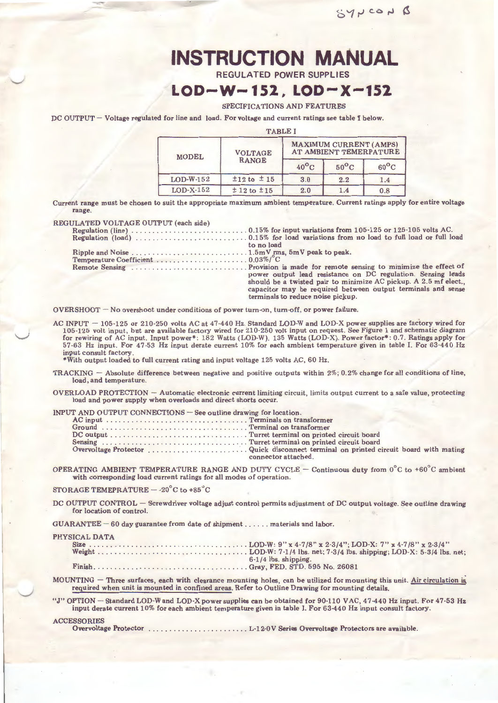# **INSTRUCTION MANUAL**

**REGULATED POWER SUPPLIES** 

## **LOD-W-152, LOD-X-152**

#### SPECIFICATIONS AND FEATURES

DC OUTPUT - Voltage regulated for line and load. For voltage and current ratings see table I below.

| <b>TABLE I</b> |                                |                                                         |                |                |  |  |
|----------------|--------------------------------|---------------------------------------------------------|----------------|----------------|--|--|
| <b>MODEL</b>   | <b>VOLTAGE</b><br><b>RANGE</b> | <b>MAXIMUM CURRENT (AMPS)</b><br>AT AMBIENT TEMERPATURE |                |                |  |  |
|                |                                | $40^{\circ}$ C                                          | $50^{\circ}$ C | $60^{\circ}$ C |  |  |
| $LOD-W-152$    | $±12$ to $±15$                 | 3.0                                                     | 2.2            | 1.4            |  |  |
| $LOD-X-152$    | $± 12$ to $± 15$               | 2.0                                                     | 1.4            | 0.8            |  |  |

Current range must be chosen to suit the appropriate maximum ambient temperature. Current ratings apply for entire voltage range.

#### REGULATED VOLTAGE OUTPUT (each side)

| TULIA I ED VOLIAGE OU IPUT (eaCh side) |                                                                                                                                  |
|----------------------------------------|----------------------------------------------------------------------------------------------------------------------------------|
|                                        |                                                                                                                                  |
|                                        |                                                                                                                                  |
|                                        | to no load                                                                                                                       |
|                                        |                                                                                                                                  |
|                                        |                                                                                                                                  |
|                                        | power output lead resistance on DC regulation. Sensing leads                                                                     |
|                                        | should be a twisted pair to minimize AC pickup. A 2.5 mf elect.,<br>capacitor may be required between output terminals and sense |
|                                        | terminals to reduce noise pickup.                                                                                                |

OVERSHOOT - No overshoot under conditions of power turn-on, turn-off, or power failure.

AC INPUT  $-$  105-125 or 210-250 volts AC at 47-440 Hz. Standard LOD-W and LOD-X power supplies are factory wired for 105-125 volt input, but are available factory wired for 210-250 volt input on request. See Figure 1 and schematic diagram for rewiring of AC input. Input power\*: 182 Watts (LOD-W). 135 Watts (LOD-X). Power factor\*: 0. 7. Ratings apply for 57-63 Hz input. For 47-53 Hz input derate current 10% for each ambient temperature given in table I. For 63-440 Hz input consult factory.

\*With output loaded to full current rating and input voltage 125 volts AC, 60 Hz.

- TRACKING  $-$  Absolute difference between negative and positive outputs within 2%; 0.2% change for all conditions of line, load, and temperature.
- OVERLOAD PROTECTION- Automatic electronic current limiting circuit, limits output current to a safe value, protecting load and power supply when overloads and direct shorts occur.

| INPUT AND OUTPUT CONNECTIONS – See outline drawing for location. |                                                                                                             |
|------------------------------------------------------------------|-------------------------------------------------------------------------------------------------------------|
|                                                                  |                                                                                                             |
|                                                                  |                                                                                                             |
|                                                                  |                                                                                                             |
|                                                                  |                                                                                                             |
|                                                                  | Overvoltage Protector Quick disconnect terminal on printed circuit board with mating<br>connector attached. |
|                                                                  |                                                                                                             |

OPERATING AMBIENT TEMPERATURE RANGE AND DUTY CYCLE - Continuous duty from  $0^{\circ}$ C to +60°C ambient with corresponding load current ratings for all modes of operation.

STORAGE TEMEPRATURE  $-$  -20 $^{\circ}$ C to +85 $^{\circ}$ C

DC OUTPUT CONTROL - Screwdriver voltage adjust control permits adjustment of DC output voltage. See outline drawing for location of control.

GUARANTEE- 60 day guarantee from date of shipment ...... materials and labor.

PHYSICAL DATA

| <b>SICAL DAIA</b> |                        |
|-------------------|------------------------|
|                   |                        |
|                   |                        |
|                   | $6-1/4$ lbs, shipping. |
|                   |                        |

MOUNTING  $-$  Three surfaces, each with clearance mounting holes, can be utilized for mounting this unit. Air circulation is required when unit is mounted in confined areas. Refer to Outline Drawing for mounting details.

"J" OPTION - Standard LOD-W and LOD-X power supplies can be obtained for 90-110 VAC, 47-440 Hz input. For 47-53 Hz input derate current 10% for each ambient temperature given in table I. For 63-440 Hz input consult factory.

ACCESSORIES<br>Overvoltage Protector ........ L-12-0V Series Overvoltage Protectors are available.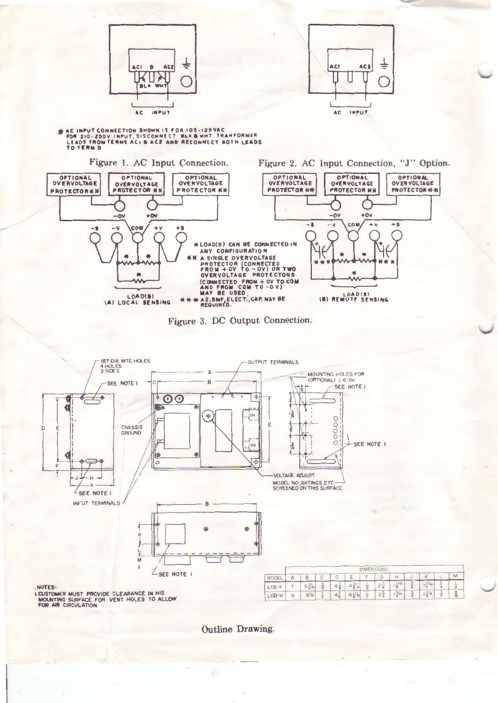



EXACTMPUT CONNECTION SHOWN IS FOR 105-125VACTOR 210-250V INPUT, DISCONNECT BLK&WHT TRANFORMER<br>LEADS FROM TERMS ACI & ACZ AND RECONNECT BOTH LEADS<br>TO TERM D

Figure 1. AC Input Connection.







Outline Drawing.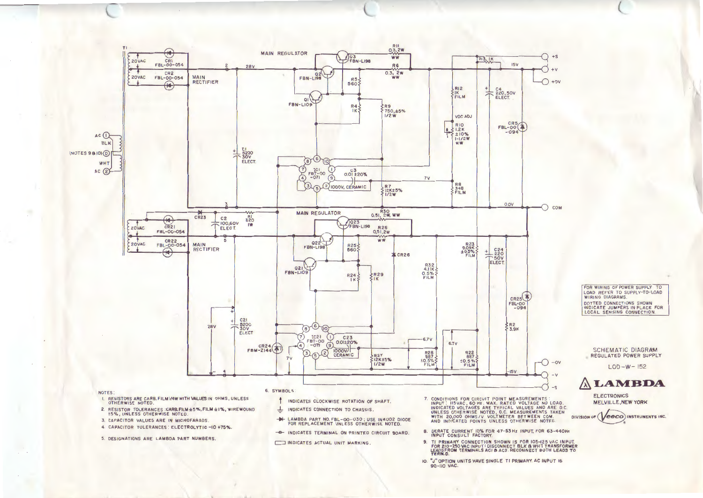

INDICATES CONNECTION TO CHASSIS.

INDICATES ACTUAL UNIT MARKING.

LAMBDA PART NO. FBL-00-030; USE IN4002 DIODE<br>FOR REPLACEMENT UNLESS OTHERWISE NOTED.

- INDICATES TERMINAL ON PRINTED CIRCUIT BOARD.

┷

 $\rightarrow$ 

FOR WIRING OF POWER SUPPLY TO LOAD REFER TO SUPPLY-TO-LOAD **WIRING DIAGRAMS.** DOTTED CONNECTIONS SHOWN INDICATE JUMPERS IN PLACE FOR<br>LOCAL SENSING CONNECTION.

**SCHEMATIC DIAGRAM** REGULATED POWER SUPPLY

 $LOD-W-152$ 

### **ALAMBDA**

**ELECTRONICS MELVILLE, NEW YORK** 

DIVISION OF (VeeCO) INSTRUMENTS INC.

- 8. DERATE CURRENT 10% FOR 47-53 Hz INPUT, FOR 63-440Hz<br>INPUT CONSULT FACTORY. TI PRIMARY CONNECTION SHOWN IS FOR IO5-125 VAC INPUT.<br>FOR 210-250 VAC INPUT: DISCONNECT BLK & WHT TRANSFORMER<br>LEADSFROM TERMINALS ACI & AC2. RECONNECT BOTH LEADS TO<br>TERM.D.  $9.$
- 
- 10. "J" OPTION UNITS HAVE SINGLE TI PRIMARY. AC INPUT IS 90-110 VAC.
- OTHERWISE NOTED.
- 2. RESISTOR TOLERANCES CARB.FILM ±5%, FILM ±1%, WIREWOUND 15%, UNLESS OTHERWISE NOTED.
- 3. CAPACITOR VALUES ARE IN MICROFARADS.
- 4. CAPACITOR TOLERANCES : ELECTROLYTIC -10 +75%.
- 5. DESIGNATIONS ARE LAMBDA PART NUMBERS.